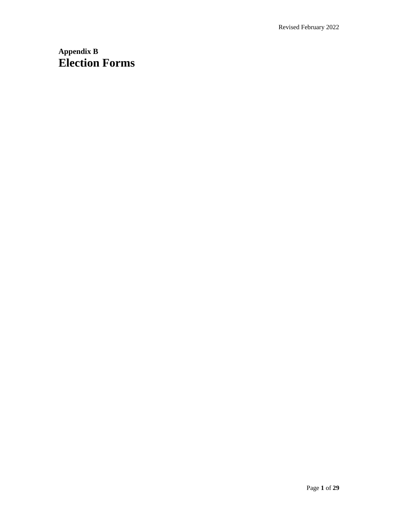# **Appendix B Election Forms**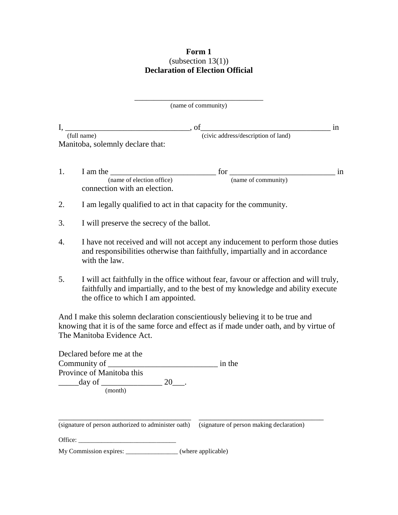# **Form 1**  $\frac{222}{13(1)}$ **Declaration of Election Official**

|    | (name of community)                                                                                                                                                                                                                  |    |
|----|--------------------------------------------------------------------------------------------------------------------------------------------------------------------------------------------------------------------------------------|----|
|    | $\mathbf{I}$ ,<br>$\rule{1em}{0.15mm}$ of                                                                                                                                                                                            | in |
|    | (civic address/description of land)<br>(full name)                                                                                                                                                                                   |    |
|    | Manitoba, solemnly declare that:                                                                                                                                                                                                     |    |
| 1. | $for \frac{1}{(name of community)}$<br>I am the<br><u> 1980 - Jan James James Barbara, martxa a filosofoar a filosofoar a filosofoar a filosofoar a filosofoar a fi</u><br>(name of election office)<br>connection with an election. | in |
| 2. | I am legally qualified to act in that capacity for the community.                                                                                                                                                                    |    |
| 3. | I will preserve the secrecy of the ballot.                                                                                                                                                                                           |    |
| 4. | I have not received and will not accept any inducement to perform those duties<br>and responsibilities otherwise than faithfully, impartially and in accordance<br>with the law.                                                     |    |
| 5. | I will act faithfully in the office without fear, favour or affection and will truly,<br>faithfully and impartially, and to the best of my knowledge and ability execute<br>the office to which I am appointed.                      |    |
|    | And I make this solemn declaration conscientiously believing it to be true and<br>knowing that it is of the same force and effect as if made under oath, and by virtue of<br>The Manitoba Evidence Act.                              |    |
|    | Declared before me at the                                                                                                                                                                                                            |    |
|    | Community of<br>in the<br>Province of Manitoba this                                                                                                                                                                                  |    |
|    | day of<br>20                                                                                                                                                                                                                         |    |
|    | (month)                                                                                                                                                                                                                              |    |
|    |                                                                                                                                                                                                                                      |    |
|    | (signature of person authorized to administer oath)<br>(signature of person making declaration)                                                                                                                                      |    |
|    |                                                                                                                                                                                                                                      |    |
|    | My Commission expires: _________________(where applicable)                                                                                                                                                                           |    |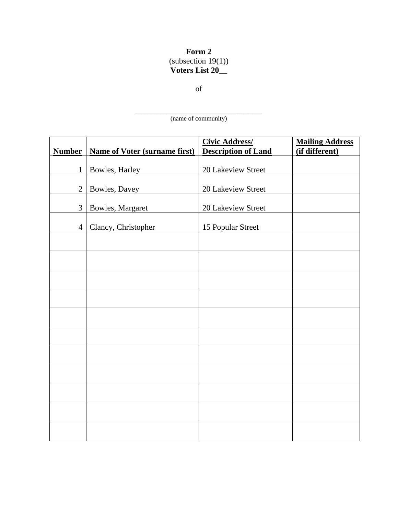# **Form 2**  $\frac{2222221}{19(1)}$ **Voters List 20\_\_**

of

\_\_\_\_\_\_\_\_\_\_\_\_\_\_\_\_\_\_\_\_\_\_\_\_\_\_\_\_\_\_\_\_\_\_\_\_\_\_\_\_\_ (name of community)

| <b>Number</b>  | <b>Name of Voter (surname first)</b> | <b>Civic Address/</b><br><b>Description of Land</b> | <b>Mailing Address</b><br>(if different) |
|----------------|--------------------------------------|-----------------------------------------------------|------------------------------------------|
| $\mathbf{1}$   | Bowles, Harley                       | 20 Lakeview Street                                  |                                          |
| $\mathbf{2}$   | Bowles, Davey                        | 20 Lakeview Street                                  |                                          |
|                |                                      |                                                     |                                          |
| 3              | Bowles, Margaret                     | 20 Lakeview Street                                  |                                          |
| $\overline{4}$ | Clancy, Christopher                  | 15 Popular Street                                   |                                          |
|                |                                      |                                                     |                                          |
|                |                                      |                                                     |                                          |
|                |                                      |                                                     |                                          |
|                |                                      |                                                     |                                          |
|                |                                      |                                                     |                                          |
|                |                                      |                                                     |                                          |
|                |                                      |                                                     |                                          |
|                |                                      |                                                     |                                          |
|                |                                      |                                                     |                                          |
|                |                                      |                                                     |                                          |
|                |                                      |                                                     |                                          |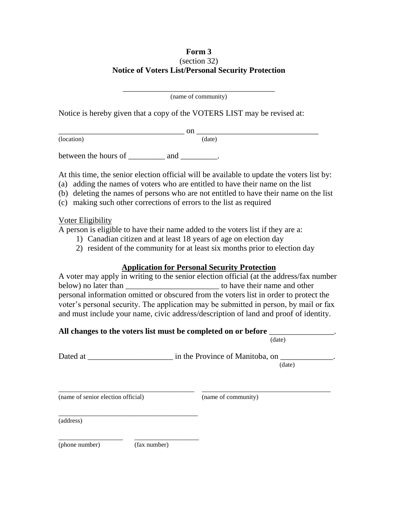#### **Form 3** (section 32) **Notice of Voters List/Personal Security Protection**

\_\_\_\_\_\_\_\_\_\_\_\_\_\_\_\_\_\_\_\_\_\_\_\_\_\_\_\_\_\_\_\_\_\_\_\_\_\_\_ (name of community)

Notice is hereby given that a copy of the VOTERS LIST may be revised at:

 $_{\rm{on}}$   $_{\rm{max}}$  on  $_{\rm{max}}$  . The contract of  $_{\rm{max}}$ (location) (date)

between the hours of \_\_\_\_\_\_\_\_\_ and \_\_\_\_\_\_\_\_.

At this time, the senior election official will be available to update the voters list by:

- (a) adding the names of voters who are entitled to have their name on the list
- (b) deleting the names of persons who are not entitled to have their name on the list
- (c) making such other corrections of errors to the list as required

#### Voter Eligibility

A person is eligible to have their name added to the voters list if they are a:

- 1) Canadian citizen and at least 18 years of age on election day
- 2) resident of the community for at least six months prior to election day

# **Application for Personal Security Protection**

A voter may apply in writing to the senior election official (at the address/fax number below) no later than the state of the state of the state of the state of the state of the state of the state of the state of the state of the state of the state of the state of the state of the state of the state of the st personal information omitted or obscured from the voters list in order to protect the voter's personal security. The application may be submitted in person, by mail or fax and must include your name, civic address/description of land and proof of identity.

#### **All changes to the voters list must be completed on or before** \_\_\_\_\_\_\_\_\_\_\_\_\_\_\_\_.

(date)

Dated at \_\_\_\_\_\_\_\_\_\_\_\_\_\_\_\_\_\_\_\_\_\_\_\_\_ in the Province of Manitoba, on \_\_\_\_\_\_\_\_\_\_\_\_\_. (date)

\_\_\_\_\_\_\_\_\_\_\_\_\_\_\_\_\_\_\_\_\_\_\_\_\_\_\_\_\_\_\_\_\_\_\_\_\_\_ \_\_\_\_\_\_\_\_\_\_\_\_\_\_\_\_\_\_\_\_\_\_\_\_\_\_\_\_\_\_\_\_\_\_\_\_

(name of senior election official) (name of community)

(address)

(phone number) (fax number)

\_\_\_\_\_\_\_\_\_\_\_\_\_\_\_\_\_\_ \_\_\_\_\_\_\_\_\_\_\_\_\_\_\_\_\_\_

\_\_\_\_\_\_\_\_\_\_\_\_\_\_\_\_\_\_\_\_\_\_\_\_\_\_\_\_\_\_\_\_\_\_\_\_\_\_\_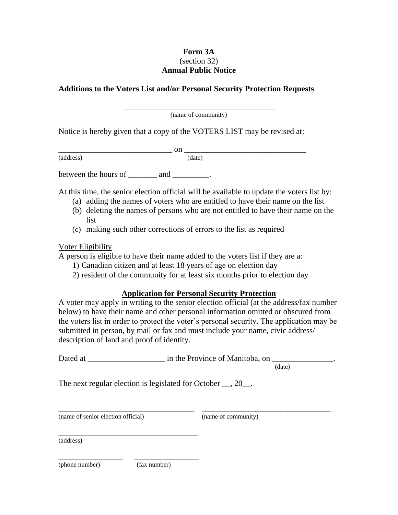## **Form 3A** (section 32) **Annual Public Notice**

#### **Additions to the Voters List and/or Personal Security Protection Requests**

\_\_\_\_\_\_\_\_\_\_\_\_\_\_\_\_\_\_\_\_\_\_\_\_\_\_\_\_\_\_\_\_\_\_\_\_\_\_\_ (name of community)

Notice is hereby given that a copy of the VOTERS LIST may be revised at:

(address)

 $\frac{\text{on}}{\text{(date)}}$ 

between the hours of \_\_\_\_\_\_\_\_ and \_\_\_\_\_\_\_\_.

At this time, the senior election official will be available to update the voters list by:

- (a) adding the names of voters who are entitled to have their name on the list
- (b) deleting the names of persons who are not entitled to have their name on the list
- (c) making such other corrections of errors to the list as required

#### Voter Eligibility

A person is eligible to have their name added to the voters list if they are a:

- 1) Canadian citizen and at least 18 years of age on election day
- 2) resident of the community for at least six months prior to election day

#### **Application for Personal Security Protection**

A voter may apply in writing to the senior election official (at the address/fax number below) to have their name and other personal information omitted or obscured from the voters list in order to protect the voter's personal security. The application may be submitted in person, by mail or fax and must include your name, civic address/ description of land and proof of identity.

| Dated at | in the Province of Manitoba, on |  |  |
|----------|---------------------------------|--|--|
|          |                                 |  |  |

\_\_\_\_\_\_\_\_\_\_\_\_\_\_\_\_\_\_\_\_\_\_\_\_\_\_\_\_\_\_\_\_\_\_\_\_\_\_ \_\_\_\_\_\_\_\_\_\_\_\_\_\_\_\_\_\_\_\_\_\_\_\_\_\_\_\_\_\_\_\_\_\_\_\_

(date)

The next regular election is legislated for October  $\_\_$ , 20 $\_\_$ .

(name of senior election official) (name of community)

\_\_\_\_\_\_\_\_\_\_\_\_\_\_\_\_\_\_\_\_\_\_\_\_\_\_\_\_\_\_\_\_\_\_\_\_\_\_\_

\_\_\_\_\_\_\_\_\_\_\_\_\_\_\_\_\_\_ \_\_\_\_\_\_\_\_\_\_\_\_\_\_\_\_\_\_

(address)

(phone number) (fax number)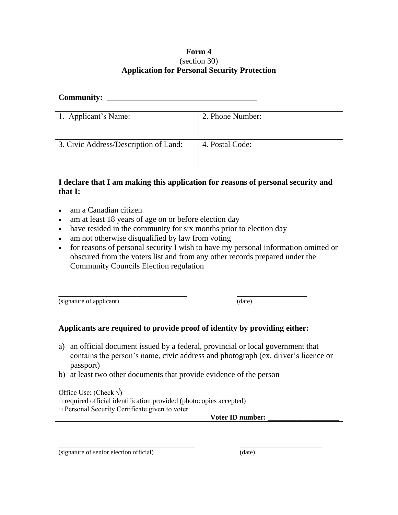#### **Form 4** (section 30) **Application for Personal Security Protection**

## Community:

| 1. Applicant's Name:                  | 2. Phone Number: |
|---------------------------------------|------------------|
| 3. Civic Address/Description of Land: | 4. Postal Code:  |

## **I declare that I am making this application for reasons of personal security and that I:**

- am a Canadian citizen
- am at least 18 years of age on or before election day
- have resided in the community for six months prior to election day
- am not otherwise disqualified by law from voting
- for reasons of personal security I wish to have my personal information omitted or obscured from the voters list and from any other records prepared under the Community Councils Election regulation

(signature of applicant) (date)

# **Applicants are required to provide proof of identity by providing either:**

\_\_\_\_\_\_\_\_\_\_\_\_\_\_\_\_\_\_\_\_\_\_\_\_\_\_\_\_\_\_\_\_\_ \_\_\_\_\_\_\_\_\_\_\_\_\_\_\_\_\_\_

a) an official document issued by a federal, provincial or local government that contains the person's name, civic address and photograph (ex. driver's licence or passport)

\_\_\_\_\_\_\_\_\_\_\_\_\_\_\_\_\_\_\_\_\_\_\_\_\_\_\_\_\_\_\_\_\_\_\_ \_\_\_\_\_\_\_\_\_\_\_\_\_\_\_\_\_\_\_\_\_

b) at least two other documents that provide evidence of the person

Office Use: (Check  $\sqrt{}$ )

 $\Box$  required official identification provided (photocopies accepted)

□ Personal Security Certificate given to voter

**Voter ID number: \_\_\_\_\_\_\_\_\_\_\_\_\_\_\_\_\_\_\_\_**

(signature of senior election official) (date)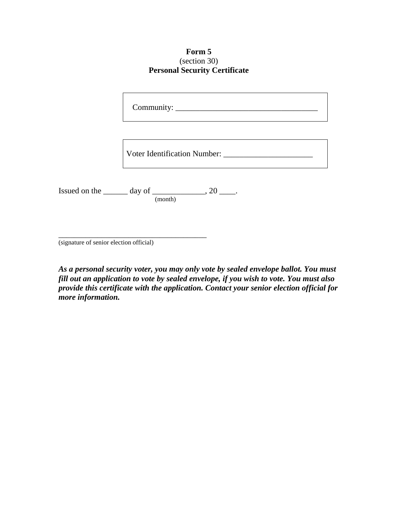**Form 5** (section 30) **Personal Security Certificate**

Community:

Voter Identification Number: \_\_\_\_\_\_\_\_\_\_\_\_\_\_\_\_\_\_\_\_\_\_

Issued on the  $\_\_\_\_$  day of  $\_\_\_\_\_\_$ , 20  $\_\_\_\_\$ . (month)

\_\_\_\_\_\_\_\_\_\_\_\_\_\_\_\_\_\_\_\_\_\_\_\_\_\_\_\_\_\_\_\_\_\_\_\_\_\_

(signature of senior election official)

*As a personal security voter, you may only vote by sealed envelope ballot. You must fill out an application to vote by sealed envelope, if you wish to vote. You must also provide this certificate with the application. Contact your senior election official for more information.*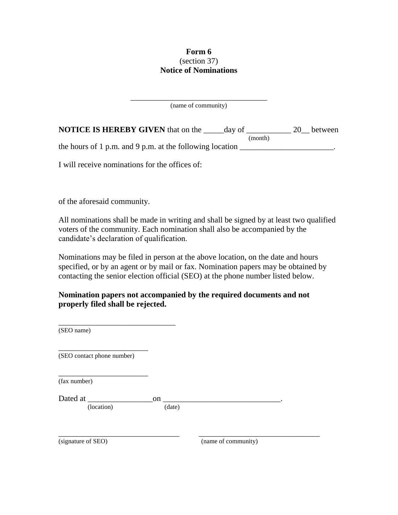## **Form 6** (section 37) **Notice of Nominations**

\_\_\_\_\_\_\_\_\_\_\_\_\_\_\_\_\_\_\_\_\_\_\_\_\_\_\_\_\_\_\_\_\_\_\_ (name of community)

| <b>NOTICE IS HEREBY GIVEN</b> that on the                | day of |         | 20 between |
|----------------------------------------------------------|--------|---------|------------|
|                                                          |        | (month) |            |
| the hours of 1 p.m. and 9 p.m. at the following location |        |         |            |

I will receive nominations for the offices of:

of the aforesaid community.

All nominations shall be made in writing and shall be signed by at least two qualified voters of the community. Each nomination shall also be accompanied by the candidate's declaration of qualification.

Nominations may be filed in person at the above location, on the date and hours specified, or by an agent or by mail or fax. Nomination papers may be obtained by contacting the senior election official (SEO) at the phone number listed below.

**Nomination papers not accompanied by the required documents and not properly filed shall be rejected.**

| (SEO name)                 |        |                     |  |
|----------------------------|--------|---------------------|--|
| (SEO contact phone number) |        |                     |  |
| (fax number)               |        |                     |  |
| Dated at                   | on     |                     |  |
| (location)                 | (date) |                     |  |
|                            |        |                     |  |
| (signature of SEO)         |        | (name of community) |  |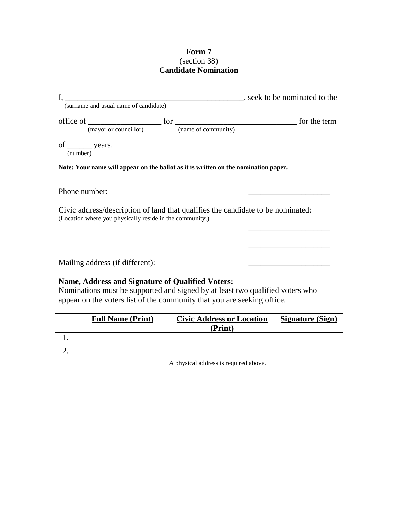## **Form 7** (section 38) **Candidate Nomination**

|                                 | (surname and usual name of candidate)                                                                                                       |  | seek to be nominated to the |  |
|---------------------------------|---------------------------------------------------------------------------------------------------------------------------------------------|--|-----------------------------|--|
| of $\_\_\_\$ years.<br>(number) | (mayor or councillor) (name of community)                                                                                                   |  |                             |  |
| Phone number:                   | Note: Your name will appear on the ballot as it is written on the nomination paper.                                                         |  |                             |  |
|                                 | Civic address/description of land that qualifies the candidate to be nominated:<br>(Location where you physically reside in the community.) |  |                             |  |
|                                 |                                                                                                                                             |  |                             |  |

Mailing address (if different):

# **Name, Address and Signature of Qualified Voters:**

Nominations must be supported and signed by at least two qualified voters who appear on the voters list of the community that you are seeking office.

| <b>Full Name (Print)</b> | <b>Civic Address or Location</b><br>(Print) | <b>Signature (Sign)</b> |
|--------------------------|---------------------------------------------|-------------------------|
|                          |                                             |                         |
|                          |                                             |                         |

A physical address is required above.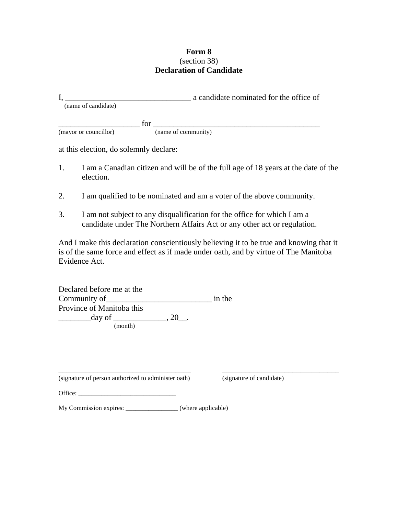#### **Form 8** (section 38) **Declaration of Candidate**

|                     |     | a candidate nominated for the office of |
|---------------------|-----|-----------------------------------------|
| (name of candidate) |     |                                         |
|                     |     |                                         |
|                     | for |                                         |

(mayor or councillor) (name of community)

at this election, do solemnly declare:

- 1. I am a Canadian citizen and will be of the full age of 18 years at the date of the election.
- 2. I am qualified to be nominated and am a voter of the above community.
- 3. I am not subject to any disqualification for the office for which I am a candidate under The Northern Affairs Act or any other act or regulation.

And I make this declaration conscientiously believing it to be true and knowing that it is of the same force and effect as if made under oath, and by virtue of The Manitoba Evidence Act.

Declared before me at the Community of\_\_\_\_\_\_\_\_\_\_\_\_\_\_\_\_\_\_\_\_\_\_\_\_\_\_ in the Province of Manitoba this  $\frac{\text{day of}}{\text{day of}}$ , 20\_. (month)

\_\_\_\_\_\_\_\_\_\_\_\_\_\_\_\_\_\_\_\_\_\_\_\_\_\_\_\_\_\_\_\_\_\_ \_\_\_\_\_\_\_\_\_\_\_\_\_\_\_\_\_\_\_\_\_\_\_\_\_\_\_\_\_\_ (signature of person authorized to administer oath) (signature of candidate)

Office: \_\_\_\_\_\_\_\_\_\_\_\_\_\_\_\_\_\_\_\_\_\_\_\_\_\_\_\_\_\_

My Commission expires: \_\_\_\_\_\_\_\_\_\_\_\_\_\_\_\_ (where applicable)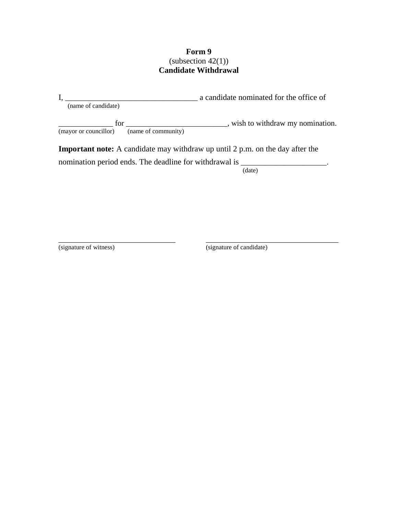## **Form 9**  $(subsection 42(1))$ **Candidate Withdrawal**

|                                           | a candidate nominated for the office of                                                |
|-------------------------------------------|----------------------------------------------------------------------------------------|
| (name of candidate)                       |                                                                                        |
| $for \_\_$                                | , wish to withdraw my nomination.                                                      |
| (mayor or councillor) (name of community) |                                                                                        |
|                                           | <b>Important note:</b> A candidate may withdraw up until $2$ p.m. on the day after the |
|                                           | nomination period ends. The deadline for withdrawal is _________________________       |

\_\_\_\_\_\_\_\_\_\_\_\_\_\_\_\_\_\_\_\_\_\_\_\_\_\_\_\_\_\_ \_\_\_\_\_\_\_\_\_\_\_\_\_\_\_\_\_\_\_\_\_\_\_\_\_\_\_\_\_\_\_\_\_\_

(date)

(signature of witness) (signature of candidate)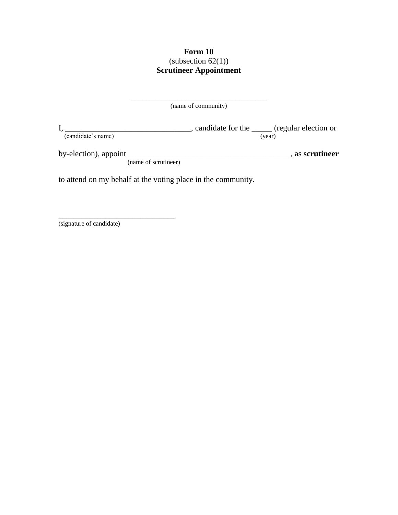# **Form 10**  $\frac{1}{2}$  (subsection 62(1)) **Scrutineer Appointment**

|                                                              | (name of community)                             |                 |
|--------------------------------------------------------------|-------------------------------------------------|-----------------|
| (candidate's name)                                           | , candidate for the ______ (regular election or | (year)          |
| by-election), appoint<br>(name of scrutineer)                |                                                 | , as scrutineer |
| to attend on my behalf at the voting place in the community. |                                                 |                 |

(signature of candidate)

\_\_\_\_\_\_\_\_\_\_\_\_\_\_\_\_\_\_\_\_\_\_\_\_\_\_\_\_\_\_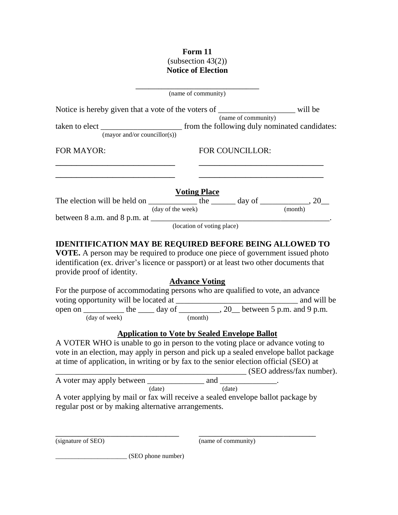# **Form 11**  $\frac{222}{12}$  (subsection 43(2)) **Notice of Election**

|                                                                                                                                                                                                                                                                                                                                                                                                           | (name of community)                                  |                 |                           |
|-----------------------------------------------------------------------------------------------------------------------------------------------------------------------------------------------------------------------------------------------------------------------------------------------------------------------------------------------------------------------------------------------------------|------------------------------------------------------|-----------------|---------------------------|
| Notice is hereby given that a vote of the voters of $\frac{1}{(name of community)}$ will be                                                                                                                                                                                                                                                                                                               |                                                      |                 |                           |
|                                                                                                                                                                                                                                                                                                                                                                                                           |                                                      |                 |                           |
|                                                                                                                                                                                                                                                                                                                                                                                                           |                                                      |                 |                           |
| (mayor and/or councillor(s))                                                                                                                                                                                                                                                                                                                                                                              |                                                      |                 |                           |
| <b>FOR MAYOR:</b>                                                                                                                                                                                                                                                                                                                                                                                         |                                                      | FOR COUNCILLOR: |                           |
|                                                                                                                                                                                                                                                                                                                                                                                                           |                                                      |                 |                           |
|                                                                                                                                                                                                                                                                                                                                                                                                           | <b>Voting Place</b>                                  |                 |                           |
| The election will be held on $\frac{ }{(\text{day of the week})}$ the $\frac{ }{(\text{may of the week})}$ day of $\frac{ }{(\text{month})}$ , 20                                                                                                                                                                                                                                                         |                                                      |                 |                           |
|                                                                                                                                                                                                                                                                                                                                                                                                           |                                                      |                 |                           |
|                                                                                                                                                                                                                                                                                                                                                                                                           |                                                      |                 |                           |
| between 8 a.m. and 8 p.m. at $\frac{1}{\sqrt{1-\frac{1}{\sqrt{1-\frac{1}{\sqrt{1-\frac{1}{\sqrt{1-\frac{1}{\sqrt{1-\frac{1}{\sqrt{1-\frac{1}{\sqrt{1-\frac{1}{\sqrt{1-\frac{1}{\sqrt{1-\frac{1}{\sqrt{1-\frac{1}{\sqrt{1-\frac{1}{\sqrt{1-\frac{1}{\sqrt{1-\frac{1}{\sqrt{1-\frac{1}{\sqrt{1-\frac{1}{\sqrt{1-\frac{1}{\sqrt{1-\frac{1}{\sqrt{1-\frac{1}{\sqrt{1-\frac{1}{\sqrt{1-\frac{1}{\sqrt{1-\frac$ |                                                      |                 |                           |
| <b>VOTE.</b> A person may be required to produce one piece of government issued photo<br>identification (ex. driver's licence or passport) or at least two other documents that<br>provide proof of identity.<br>For the purpose of accommodating persons who are qualified to vote, an advance                                                                                                           | <b>Advance Voting</b>                                |                 |                           |
|                                                                                                                                                                                                                                                                                                                                                                                                           | <b>Application to Vote by Sealed Envelope Ballot</b> |                 |                           |
| A VOTER WHO is unable to go in person to the voting place or advance voting to<br>vote in an election, may apply in person and pick up a sealed envelope ballot package<br>at time of application, in writing or by fax to the senior election official (SEO) at                                                                                                                                          |                                                      |                 | (SEO address/fax number). |
|                                                                                                                                                                                                                                                                                                                                                                                                           |                                                      |                 |                           |
| (data)                                                                                                                                                                                                                                                                                                                                                                                                    |                                                      | (date)          |                           |
| A voter applying by mail or fax will receive a sealed envelope ballot package by                                                                                                                                                                                                                                                                                                                          |                                                      |                 |                           |
| regular post or by making alternative arrangements.                                                                                                                                                                                                                                                                                                                                                       |                                                      |                 |                           |
|                                                                                                                                                                                                                                                                                                                                                                                                           |                                                      |                 |                           |

(signature of SEO) (name of community)

\_\_\_\_\_\_\_\_\_\_\_\_\_\_\_\_\_\_\_\_\_\_ (SEO phone number)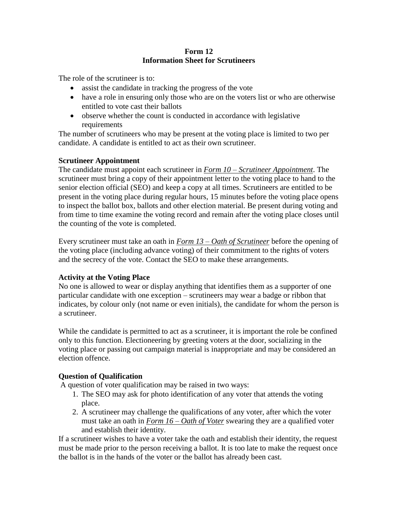#### **Form 12 Information Sheet for Scrutineers**

The role of the scrutineer is to:

- assist the candidate in tracking the progress of the vote
- have a role in ensuring only those who are on the voters list or who are otherwise entitled to vote cast their ballots
- observe whether the count is conducted in accordance with legislative requirements

The number of scrutineers who may be present at the voting place is limited to two per candidate. A candidate is entitled to act as their own scrutineer.

## **Scrutineer Appointment**

The candidate must appoint each scrutineer in *Form 10 – Scrutineer Appointment*. The scrutineer must bring a copy of their appointment letter to the voting place to hand to the senior election official (SEO) and keep a copy at all times. Scrutineers are entitled to be present in the voting place during regular hours, 15 minutes before the voting place opens to inspect the ballot box, ballots and other election material. Be present during voting and from time to time examine the voting record and remain after the voting place closes until the counting of the vote is completed.

Every scrutineer must take an oath in *Form 13 – Oath of Scrutineer* before the opening of the voting place (including advance voting) of their commitment to the rights of voters and the secrecy of the vote. Contact the SEO to make these arrangements.

#### **Activity at the Voting Place**

No one is allowed to wear or display anything that identifies them as a supporter of one particular candidate with one exception – scrutineers may wear a badge or ribbon that indicates, by colour only (not name or even initials), the candidate for whom the person is a scrutineer.

While the candidate is permitted to act as a scrutineer, it is important the role be confined only to this function. Electioneering by greeting voters at the door, socializing in the voting place or passing out campaign material is inappropriate and may be considered an election offence.

# **Question of Qualification**

A question of voter qualification may be raised in two ways:

- 1. The SEO may ask for photo identification of any voter that attends the voting place.
- 2. A scrutineer may challenge the qualifications of any voter, after which the voter must take an oath in *Form 16 – Oath of Voter* swearing they are a qualified voter and establish their identity.

If a scrutineer wishes to have a voter take the oath and establish their identity, the request must be made prior to the person receiving a ballot. It is too late to make the request once the ballot is in the hands of the voter or the ballot has already been cast.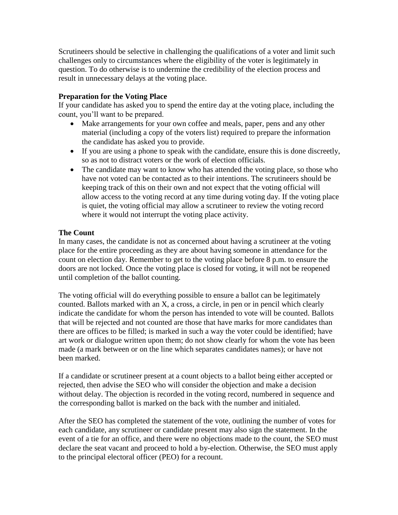Scrutineers should be selective in challenging the qualifications of a voter and limit such challenges only to circumstances where the eligibility of the voter is legitimately in question. To do otherwise is to undermine the credibility of the election process and result in unnecessary delays at the voting place.

#### **Preparation for the Voting Place**

If your candidate has asked you to spend the entire day at the voting place, including the count, you'll want to be prepared.

- Make arrangements for your own coffee and meals, paper, pens and any other material (including a copy of the voters list) required to prepare the information the candidate has asked you to provide.
- If you are using a phone to speak with the candidate, ensure this is done discreetly, so as not to distract voters or the work of election officials.
- The candidate may want to know who has attended the voting place, so those who have not voted can be contacted as to their intentions. The scrutineers should be keeping track of this on their own and not expect that the voting official will allow access to the voting record at any time during voting day. If the voting place is quiet, the voting official may allow a scrutineer to review the voting record where it would not interrupt the voting place activity.

#### **The Count**

In many cases, the candidate is not as concerned about having a scrutineer at the voting place for the entire proceeding as they are about having someone in attendance for the count on election day. Remember to get to the voting place before 8 p.m. to ensure the doors are not locked. Once the voting place is closed for voting, it will not be reopened until completion of the ballot counting.

The voting official will do everything possible to ensure a ballot can be legitimately counted. Ballots marked with an X, a cross, a circle, in pen or in pencil which clearly indicate the candidate for whom the person has intended to vote will be counted. Ballots that will be rejected and not counted are those that have marks for more candidates than there are offices to be filled; is marked in such a way the voter could be identified; have art work or dialogue written upon them; do not show clearly for whom the vote has been made (a mark between or on the line which separates candidates names); or have not been marked.

If a candidate or scrutineer present at a count objects to a ballot being either accepted or rejected, then advise the SEO who will consider the objection and make a decision without delay. The objection is recorded in the voting record, numbered in sequence and the corresponding ballot is marked on the back with the number and initialed.

After the SEO has completed the statement of the vote, outlining the number of votes for each candidate, any scrutineer or candidate present may also sign the statement. In the event of a tie for an office, and there were no objections made to the count, the SEO must declare the seat vacant and proceed to hold a by-election. Otherwise, the SEO must apply to the principal electoral officer (PEO) for a recount.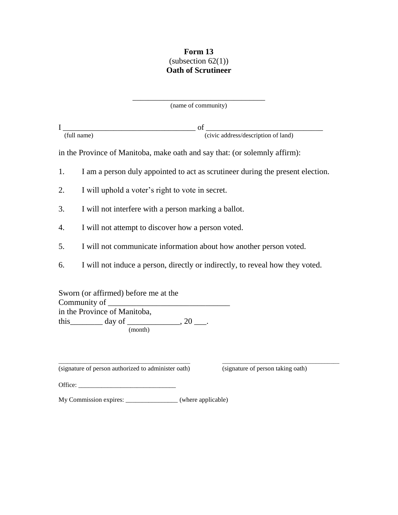## **Form 13** (subsection  $62(1)$ ) **Oath of Scrutineer**

\_\_\_\_\_\_\_\_\_\_\_\_\_\_\_\_\_\_\_\_\_\_\_\_\_\_\_\_\_\_\_\_\_\_ (name of community)

I \_\_\_\_\_\_\_\_\_\_\_\_\_\_\_\_\_\_\_\_\_\_\_\_\_\_\_\_\_\_\_\_\_\_ of \_\_\_\_\_\_\_\_\_\_\_\_\_\_\_\_\_\_\_\_\_\_\_\_\_\_\_\_\_\_ (full name) (civic address/description of land)

in the Province of Manitoba, make oath and say that: (or solemnly affirm):

- 1. I am a person duly appointed to act as scrutineer during the present election.
- 2. I will uphold a voter's right to vote in secret.
- 3. I will not interfere with a person marking a ballot.
- 4. I will not attempt to discover how a person voted.
- 5. I will not communicate information about how another person voted.
- 6. I will not induce a person, directly or indirectly, to reveal how they voted.

\_\_\_\_\_\_\_\_\_\_\_\_\_\_\_\_\_\_\_\_\_\_\_\_\_\_\_\_\_\_\_\_\_\_\_\_\_\_\_\_\_\_\_\_\_ \_\_\_\_\_\_\_\_\_\_\_\_\_\_\_\_\_\_\_\_\_\_\_\_\_\_\_\_\_\_\_\_\_\_\_\_\_\_\_\_

Sworn (or affirmed) before me at the Community of  $\overline{\phantom{a}}$ in the Province of Manitoba, this day of \_\_\_\_\_\_\_\_\_, 20 \_\_\_. (month)

(signature of person authorized to administer oath) (signature of person taking oath)

| Office: |
|---------|
|---------|

My Commission expires: \_\_\_\_\_\_\_\_\_\_\_\_\_\_\_\_ (where applicable)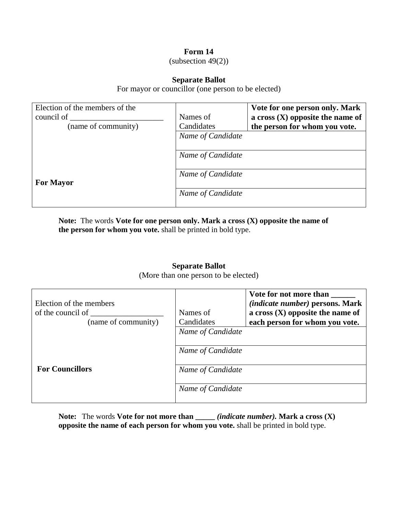## **Form 14**

 $subsection 49(2)$ 

#### **Separate Ballot**

For mayor or councillor (one person to be elected)

| Election of the members of the |                   | Vote for one person only. Mark     |
|--------------------------------|-------------------|------------------------------------|
| council of                     | Names of          | a cross $(X)$ opposite the name of |
| (name of community)            | Candidates        | the person for whom you vote.      |
|                                | Name of Candidate |                                    |
|                                | Name of Candidate |                                    |
| <b>For Mayor</b>               | Name of Candidate |                                    |
|                                | Name of Candidate |                                    |

**Note:** The words **Vote for one person only. Mark a cross (X) opposite the name of the person for whom you vote.** shall be printed in bold type.

#### **Separate Ballot**

(More than one person to be elected)

| Election of the members<br>of the council of<br>(name of community) | Names of<br>Candidates                 | Vote for not more than<br>(indicate number) persons. Mark<br>a cross $(X)$ opposite the name of<br>each person for whom you vote. |
|---------------------------------------------------------------------|----------------------------------------|-----------------------------------------------------------------------------------------------------------------------------------|
|                                                                     | Name of Candidate<br>Name of Candidate |                                                                                                                                   |
| <b>For Councillors</b>                                              | Name of Candidate<br>Name of Candidate |                                                                                                                                   |

**Note:** The words **Vote for not more than \_\_\_\_\_** *(indicate number).* **Mark a cross (X) opposite the name of each person for whom you vote.** shall be printed in bold type.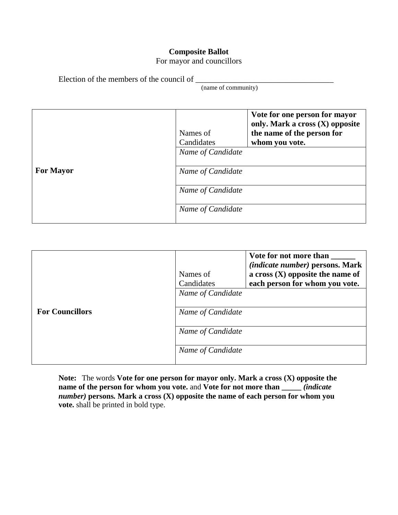# **Composite Ballot**

For mayor and councillors

Election of the members of the council of \_\_\_\_\_\_\_\_\_\_\_\_\_\_\_\_\_\_\_\_\_\_\_\_\_\_\_\_\_\_\_\_\_\_

(name of community)

|                  | Names of<br>Candidates | Vote for one person for mayor<br>only. Mark a cross (X) opposite<br>the name of the person for<br>whom you vote. |
|------------------|------------------------|------------------------------------------------------------------------------------------------------------------|
|                  | Name of Candidate      |                                                                                                                  |
| <b>For Mayor</b> | Name of Candidate      |                                                                                                                  |
|                  | Name of Candidate      |                                                                                                                  |
|                  | Name of Candidate      |                                                                                                                  |

|                        | Names of<br>Candidates | Vote for not more than<br><i>(indicate number)</i> persons. Mark<br>a cross $(X)$ opposite the name of<br>each person for whom you vote. |
|------------------------|------------------------|------------------------------------------------------------------------------------------------------------------------------------------|
|                        | Name of Candidate      |                                                                                                                                          |
| <b>For Councillors</b> | Name of Candidate      |                                                                                                                                          |
|                        | Name of Candidate      |                                                                                                                                          |
|                        | Name of Candidate      |                                                                                                                                          |

**Note:** The words **Vote for one person for mayor only. Mark a cross (X) opposite the name of the person for whom you vote.** and **Vote for not more than \_\_\_\_\_** *(indicate number)* **persons***.* **Mark a cross (X) opposite the name of each person for whom you vote.** shall be printed in bold type.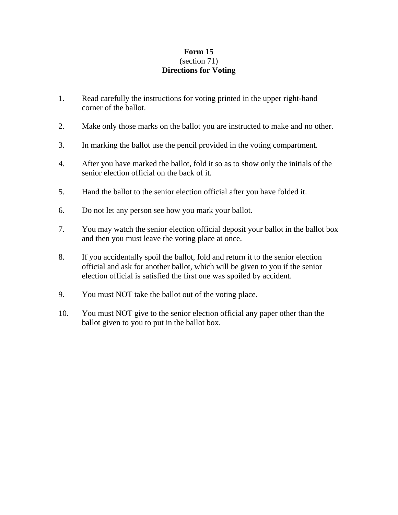## **Form 15** (section 71) **Directions for Voting**

- 1. Read carefully the instructions for voting printed in the upper right-hand corner of the ballot.
- 2. Make only those marks on the ballot you are instructed to make and no other.
- 3. In marking the ballot use the pencil provided in the voting compartment.
- 4. After you have marked the ballot, fold it so as to show only the initials of the senior election official on the back of it.
- 5. Hand the ballot to the senior election official after you have folded it.
- 6. Do not let any person see how you mark your ballot.
- 7. You may watch the senior election official deposit your ballot in the ballot box and then you must leave the voting place at once.
- 8. If you accidentally spoil the ballot, fold and return it to the senior election official and ask for another ballot, which will be given to you if the senior election official is satisfied the first one was spoiled by accident.
- 9. You must NOT take the ballot out of the voting place.
- 10. You must NOT give to the senior election official any paper other than the ballot given to you to put in the ballot box.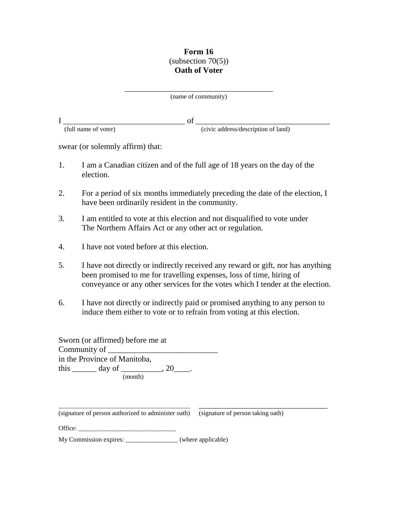## **Form 16**  $subsection 70(5)$ **Oath of Voter**

\_\_\_\_\_\_\_\_\_\_\_\_\_\_\_\_\_\_\_\_\_\_\_\_\_\_\_\_\_\_\_\_\_\_\_\_\_\_ (name of community)

I \_\_\_\_\_\_\_\_\_\_\_\_\_\_\_\_\_\_\_\_\_\_\_\_\_\_\_\_\_\_ of \_\_\_\_\_\_\_\_\_\_\_\_\_\_\_\_\_\_\_\_\_\_\_\_\_\_\_\_\_\_\_\_\_ (full name of voter) (civic address/description of land)

swear (or solemnly affirm) that:

- 1. I am a Canadian citizen and of the full age of 18 years on the day of the election.
- 2. For a period of six months immediately preceding the date of the election, I have been ordinarily resident in the community.
- 3. I am entitled to vote at this election and not disqualified to vote under The Northern Affairs Act or any other act or regulation.
- 4. I have not voted before at this election.
- 5. I have not directly or indirectly received any reward or gift, nor has anything been promised to me for travelling expenses, loss of time, hiring of conveyance or any other services for the votes which I tender at the election.
- 6. I have not directly or indirectly paid or promised anything to any person to induce them either to vote or to refrain from voting at this election.

| Sworn (or affirmed) before me at                 |         |  |
|--------------------------------------------------|---------|--|
| Community of                                     |         |  |
| in the Province of Manitoba,                     |         |  |
| this $\qquad \qquad \text{day of} \qquad \qquad$ | $.20$ . |  |
| (month)                                          |         |  |

\_\_\_\_\_\_\_\_\_\_\_\_\_\_\_\_\_\_\_\_\_\_\_\_\_\_\_\_\_\_\_\_\_\_\_\_\_\_\_\_\_\_\_\_\_ \_\_\_\_\_\_\_\_\_\_\_\_\_\_\_\_\_\_\_\_\_\_\_\_\_\_\_\_\_\_\_\_\_ (signature of person authorized to administer oath) (signature of person taking oath)

| Office: |
|---------|
|---------|

My Commission expires: \_\_\_\_\_\_\_\_\_\_\_\_\_\_\_\_ (where applicable)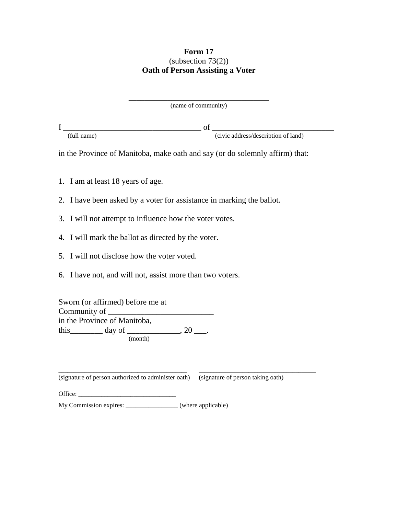#### **Form 17** (subsection 73(2)) **Oath of Person Assisting a Voter**

\_\_\_\_\_\_\_\_\_\_\_\_\_\_\_\_\_\_\_\_\_\_\_\_\_\_\_\_\_\_\_\_\_\_\_\_ (name of community)

I \_\_\_\_\_\_\_\_\_\_\_\_\_\_\_\_\_\_\_\_\_\_\_\_\_\_\_\_\_\_\_\_\_\_ of \_\_\_\_\_\_\_\_\_\_\_\_\_\_\_\_\_\_\_\_\_\_\_\_\_\_\_\_\_\_

(full name) (civic address/description of land)

in the Province of Manitoba, make oath and say (or do solemnly affirm) that:

- 1. I am at least 18 years of age.
- 2. I have been asked by a voter for assistance in marking the ballot.
- 3. I will not attempt to influence how the voter votes.
- 4. I will mark the ballot as directed by the voter.
- 5. I will not disclose how the voter voted.
- 6. I have not, and will not, assist more than two voters.

Sworn (or affirmed) before me at Community of in the Province of Manitoba, this\_\_\_\_\_\_\_\_ day of \_\_\_\_\_\_\_\_\_\_\_\_\_, 20 \_\_\_. (month)

\_\_\_\_\_\_\_\_\_\_\_\_\_\_\_\_\_\_\_\_\_\_\_\_\_\_\_\_\_\_\_\_\_\_\_\_\_\_\_\_\_\_\_\_ \_\_\_\_\_\_\_\_\_\_\_\_\_\_\_\_\_\_\_\_\_\_\_\_\_\_\_\_\_\_\_\_\_\_\_\_\_\_\_\_ (signature of person authorized to administer oath) (signature of person taking oath)

Office:

My Commission expires:  $\qquad (where applicable)$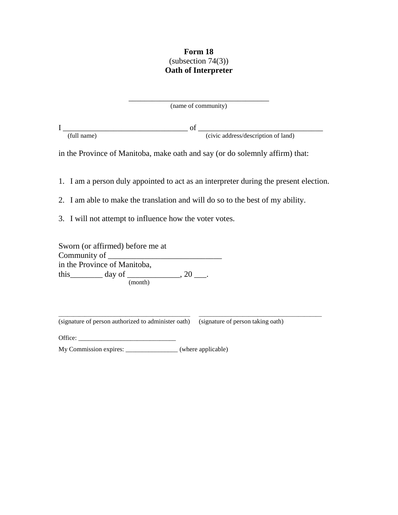## **Form 18**  $subsection 74(3)$ **Oath of Interpreter**

| (name of community) |  |
|---------------------|--|

I \_\_\_\_\_\_\_\_\_\_\_\_\_\_\_\_\_\_\_\_\_\_\_\_\_\_\_\_\_\_\_\_ of \_\_\_\_\_\_\_\_\_\_\_\_\_\_\_\_\_\_\_\_\_\_\_\_\_\_\_\_\_\_\_\_

(full name) (civic address/description of land)

in the Province of Manitoba, make oath and say (or do solemnly affirm) that:

1. I am a person duly appointed to act as an interpreter during the present election.

2. I am able to make the translation and will do so to the best of my ability.

3. I will not attempt to influence how the voter votes.

Sworn (or affirmed) before me at Community of in the Province of Manitoba, this \_\_\_\_\_\_\_\_\_\_\_ day of \_\_\_\_\_\_\_\_\_\_\_\_\_\_, 20 \_\_\_. (month)

\_\_\_\_\_\_\_\_\_\_\_\_\_\_\_\_\_\_\_\_\_\_\_\_\_\_\_\_\_\_\_\_\_\_\_\_\_\_\_\_\_\_\_\_\_ \_\_\_\_\_\_\_\_\_\_\_\_\_\_\_\_\_\_\_\_\_\_\_\_\_\_\_\_\_\_\_\_\_\_\_\_\_\_\_\_\_\_ (signature of person authorized to administer oath) (signature of person taking oath)

Office:

My Commission expires: \_\_\_\_\_\_\_\_\_\_\_\_\_\_\_\_ (where applicable)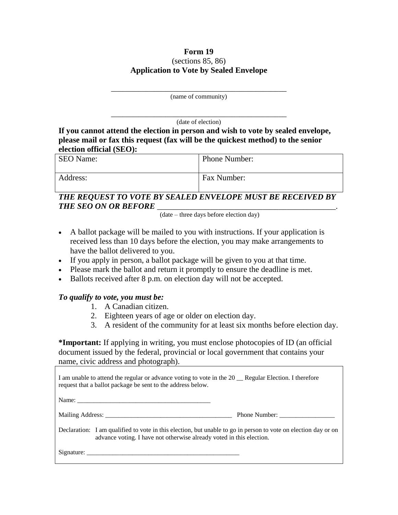#### **Form 19** (sections 85, 86) **Application to Vote by Sealed Envelope**

| (name of community) |  |
|---------------------|--|

\_\_\_\_\_\_\_\_\_\_\_\_\_\_\_\_\_\_\_\_\_\_\_\_\_\_\_\_\_\_\_\_\_\_\_\_\_\_\_\_\_\_\_\_\_ (date of election)

**If you cannot attend the election in person and wish to vote by sealed envelope, please mail or fax this request (fax will be the quickest method) to the senior election official (SEO):**

| <b>SEO</b> Name: | Phone Number: |
|------------------|---------------|
| Address:         | Fax Number:   |

# *THE REQUEST TO VOTE BY SEALED ENVELOPE MUST BE RECEIVED BY THE SEO ON OR BEFORE* \_\_\_\_\_\_\_\_\_\_\_\_\_\_\_\_\_\_\_\_\_\_\_\_\_\_\_\_\_\_\_\_\_\_\_\_\_\_\_\_\_\_\_\_.

(date – three days before election day)

- A ballot package will be mailed to you with instructions. If your application is received less than 10 days before the election, you may make arrangements to have the ballot delivered to you.
- If you apply in person, a ballot package will be given to you at that time.
- Please mark the ballot and return it promptly to ensure the deadline is met.
- Ballots received after 8 p.m. on election day will not be accepted.

# *To qualify to vote, you must be:*

- 1. A Canadian citizen.
- 2. Eighteen years of age or older on election day.
- 3. A resident of the community for at least six months before election day.

**\*Important:** If applying in writing, you must enclose photocopies of ID (an official document issued by the federal, provincial or local government that contains your name, civic address and photograph).

| I am unable to attend the regular or advance voting to vote in the 20 Regular Election. I therefore<br>request that a ballot package be sent to the address below.                     |  |  |  |
|----------------------------------------------------------------------------------------------------------------------------------------------------------------------------------------|--|--|--|
|                                                                                                                                                                                        |  |  |  |
|                                                                                                                                                                                        |  |  |  |
| Declaration: I am qualified to vote in this election, but unable to go in person to vote on election day or on<br>advance voting. I have not otherwise already voted in this election. |  |  |  |
|                                                                                                                                                                                        |  |  |  |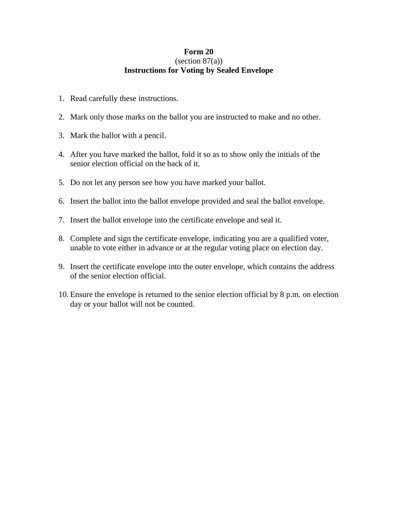#### **Form 20**  $(section 87(a))$ **Instructions for Voting by Sealed Envelope**

- 1. Read carefully these instructions.
- 2. Mark only those marks on the ballot you are instructed to make and no other.
- 3. Mark the ballot with a pencil.
- 4. After you have marked the ballot, fold it so as to show only the initials of the senior election official on the back of it.
- 5. Do not let any person see how you have marked your ballot.
- 6. Insert the ballot into the ballot envelope provided and seal the ballot envelope.
- 7. Insert the ballot envelope into the certificate envelope and seal it.
- 8. Complete and sign the certificate envelope, indicating you are a qualified voter, unable to vote either in advance or at the regular voting place on election day.
- 9. Insert the certificate envelope into the outer envelope, which contains the address of the senior election official.
- 10. Ensure the envelope is returned to the senior election official by 8 p.m. on election day or your ballot will not be counted.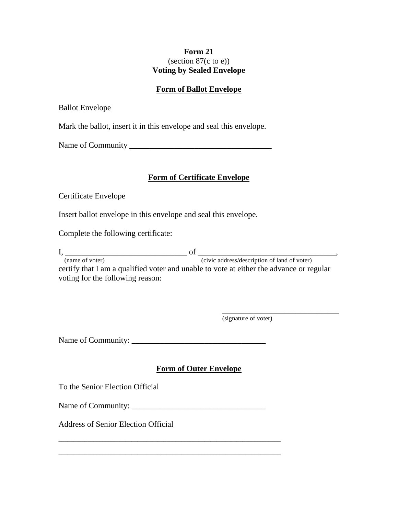#### **Form 21** (section 87(c to e)) **Voting by Sealed Envelope**

#### **Form of Ballot Envelope**

Ballot Envelope

Mark the ballot, insert it in this envelope and seal this envelope.

Name of Community \_\_\_\_\_\_\_\_\_\_\_\_\_\_\_\_\_\_\_\_\_\_\_\_\_\_\_\_\_\_\_\_\_\_\_

#### **Form of Certificate Envelope**

Certificate Envelope

Insert ballot envelope in this envelope and seal this envelope.

Complete the following certificate:

I, \_\_\_\_\_\_\_\_\_\_\_\_\_\_\_\_\_\_\_\_\_\_\_\_\_\_\_\_\_\_ of \_\_\_\_\_\_\_\_\_\_\_\_\_\_\_\_\_\_\_\_\_\_\_\_\_\_\_\_\_\_\_\_\_\_, (name of voter) (civic address/description of land of voter) certify that I am a qualified voter and unable to vote at either the advance or regular

voting for the following reason:

\_\_\_\_\_\_\_\_\_\_\_\_\_\_\_\_\_\_\_\_\_\_\_\_\_\_\_\_\_\_ (signature of voter)

Name of Community: \_\_\_\_\_\_\_\_\_\_\_\_\_\_\_\_\_\_\_\_\_\_\_\_\_\_\_\_\_\_\_\_\_

# **Form of Outer Envelope**

To the Senior Election Official

Name of Community: \_\_\_\_\_\_\_\_\_\_\_\_\_\_\_\_\_\_\_\_\_\_\_\_\_\_\_\_\_\_\_\_\_

\_\_\_\_\_\_\_\_\_\_\_\_\_\_\_\_\_\_\_\_\_\_\_\_\_\_\_\_\_\_\_\_\_\_\_\_\_\_\_\_\_\_\_\_\_\_\_\_\_\_\_\_\_\_\_\_\_\_\_\_\_\_\_\_\_\_\_\_\_\_\_\_\_\_\_\_

\_\_\_\_\_\_\_\_\_\_\_\_\_\_\_\_\_\_\_\_\_\_\_\_\_\_\_\_\_\_\_\_\_\_\_\_\_\_\_\_\_\_\_\_\_\_\_\_\_\_\_\_\_\_\_\_\_\_\_\_\_\_\_\_\_\_\_\_\_\_\_\_\_\_\_\_

Address of Senior Election Official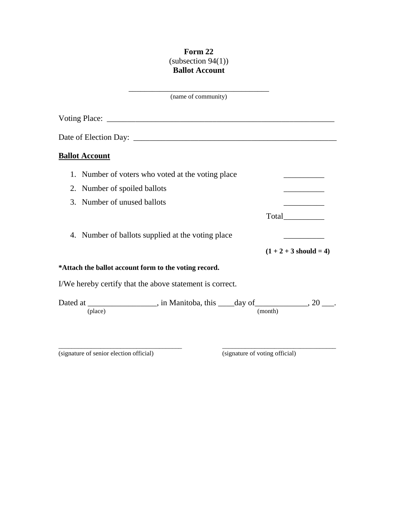# **Form 22**  $\frac{1}{2}$  (subsection 94(1)) **Ballot Account**

| (name of community)                                                                        |                          |
|--------------------------------------------------------------------------------------------|--------------------------|
|                                                                                            |                          |
|                                                                                            |                          |
| <b>Ballot Account</b>                                                                      |                          |
| 1. Number of voters who voted at the voting place                                          |                          |
| 2. Number of spoiled ballots                                                               |                          |
| 3. Number of unused ballots                                                                |                          |
|                                                                                            | Total____________        |
| 4. Number of ballots supplied at the voting place                                          |                          |
|                                                                                            | $(1 + 2 + 3$ should = 4) |
| *Attach the ballot account form to the voting record.                                      |                          |
| I/We hereby certify that the above statement is correct.                                   |                          |
| Dated at __________________, in Manitoba, this ____day of ____________, 20 ___.<br>(place) | (month)                  |
|                                                                                            |                          |

\_\_\_\_\_\_\_\_\_\_\_\_\_\_\_\_\_\_\_\_\_\_\_\_\_\_\_\_\_\_\_\_\_\_\_\_\_\_ \_\_\_\_\_\_\_\_\_\_\_\_\_\_\_\_\_\_\_\_\_\_\_\_\_\_\_\_\_\_\_\_\_\_\_

(signature of senior election official) (signature of voting official)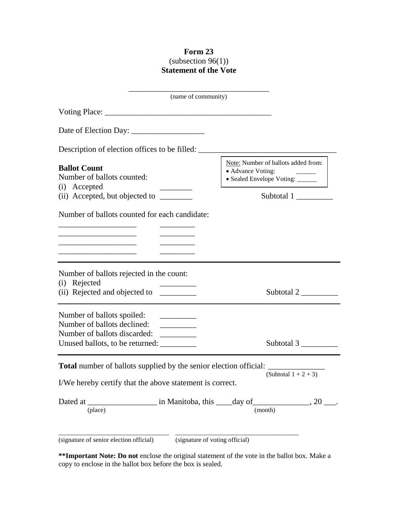## **Form 23**  $(subsection 96(1))$ **Statement of the Vote**

| (name of community)                                                                                                                                                                                                                                                                                                                                                  |                                                                                             |  |
|----------------------------------------------------------------------------------------------------------------------------------------------------------------------------------------------------------------------------------------------------------------------------------------------------------------------------------------------------------------------|---------------------------------------------------------------------------------------------|--|
|                                                                                                                                                                                                                                                                                                                                                                      |                                                                                             |  |
|                                                                                                                                                                                                                                                                                                                                                                      |                                                                                             |  |
| Description of election offices to be filled: __________________________________                                                                                                                                                                                                                                                                                     |                                                                                             |  |
| <b>Ballot Count</b><br>Number of ballots counted:<br>(i) Accepted                                                                                                                                                                                                                                                                                                    | Note: Number of ballots added from:<br>• Advance Voting:<br>• Sealed Envelope Voting: _____ |  |
|                                                                                                                                                                                                                                                                                                                                                                      | Subtotal 1                                                                                  |  |
| Number of ballots counted for each candidate:<br>the control of the control of the control of the control of the control of<br><u> 1989 - Johann Barbara, martxa al III-lea (h. 1978).</u>                                                                                                                                                                           |                                                                                             |  |
| Number of ballots rejected in the count:<br>(i) Rejected                                                                                                                                                                                                                                                                                                             | Subtotal $2 \_\_$                                                                           |  |
| Number of ballots spoiled:<br><u> 1989 - Jan Barbara Barat III a Barbara a Barbara a Barbara a Barbara a Barbara a Barbara a Barbara a Barbara a Barbara a Barbara a Barbara a Barbara a Barbara a Barbara a Barbara a Barbara a Barbara a Barbara a Barbara a</u><br>Number of ballots declined:<br>Number of ballots discarded:<br>Unused ballots, to be returned: | Subtotal $3 \_\_\_\_\_\_\$                                                                  |  |
| <b>Total</b> number of ballots supplied by the senior election official:<br>I/We hereby certify that the above statement is correct.                                                                                                                                                                                                                                 | (Subtotal $1 + 2 + 3$ )                                                                     |  |
| (place)                                                                                                                                                                                                                                                                                                                                                              | (month)                                                                                     |  |
| (signature of senior election official)                                                                                                                                                                                                                                                                                                                              | (signature of voting official)                                                              |  |

**\*\*Important Note: Do not** enclose the original statement of the vote in the ballot box. Make a copy to enclose in the ballot box before the box is sealed.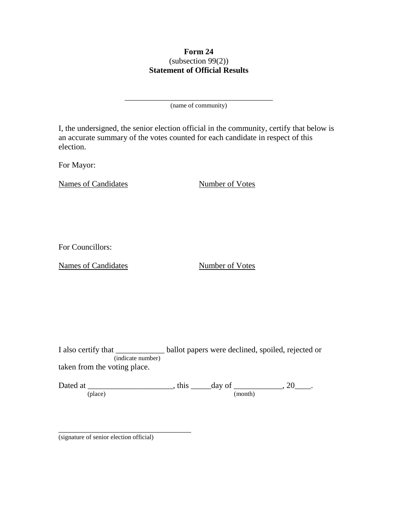## **Form 24** (subsection 99(2)) **Statement of Official Results**

\_\_\_\_\_\_\_\_\_\_\_\_\_\_\_\_\_\_\_\_\_\_\_\_\_\_\_\_\_\_\_\_\_\_\_\_\_\_ (name of community)

I, the undersigned, the senior election official in the community, certify that below is an accurate summary of the votes counted for each candidate in respect of this election.

For Mayor:

Names of Candidates Number of Votes

For Councillors:

Names of Candidates Number of Votes

I also certify that \_\_\_\_\_\_\_\_\_\_\_\_ ballot papers were declined, spoiled, rejected or (indicate number) taken from the voting place.

Dated at \_\_\_\_\_\_\_\_\_\_\_\_\_\_\_\_\_\_\_\_\_\_\_, this \_\_\_\_\_\_day of \_\_\_\_\_\_\_\_\_\_\_\_\_, 20\_\_\_\_. (place) (month)

(signature of senior election official)

\_\_\_\_\_\_\_\_\_\_\_\_\_\_\_\_\_\_\_\_\_\_\_\_\_\_\_\_\_\_\_\_\_\_